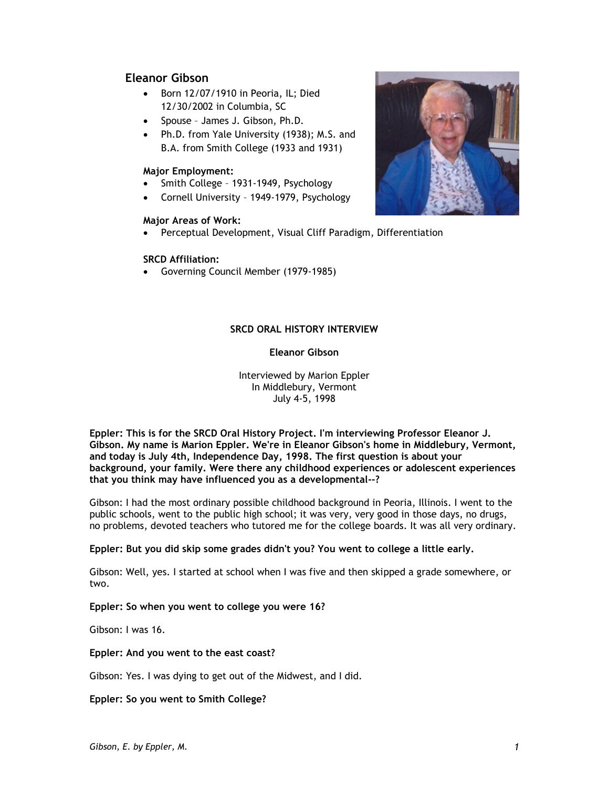# **Eleanor Gibson**

- Born 12/07/1910 in Peoria, IL; Died 12/30/2002 in Columbia, SC
- Spouse James J. Gibson, Ph.D.
- Ph.D. from Yale University (1938); M.S. and B.A. from Smith College (1933 and 1931)

## **Major Employment:**

- Smith College 1931-1949, Psychology
- Cornell University 1949-1979, Psychology

# **Major Areas of Work:**

Perceptual Development, Visual Cliff Paradigm, Differentiation

# **SRCD Affiliation:**

Governing Council Member (1979-1985)



# **SRCD ORAL HISTORY INTERVIEW**

# **Eleanor Gibson**

Interviewed by Marion Eppler In Middlebury, Vermont July 4-5, 1998

**Eppler: This is for the SRCD Oral History Project. I'm interviewing Professor Eleanor J. Gibson. My name is Marion Eppler. We're in Eleanor Gibson's home in Middlebury, Vermont, and today is July 4th, Independence Day, 1998. The first question is about your background, your family. Were there any childhood experiences or adolescent experiences that you think may have influenced you as a developmental--?**

Gibson: I had the most ordinary possible childhood background in Peoria, Illinois. I went to the public schools, went to the public high school; it was very, very good in those days, no drugs, no problems, devoted teachers who tutored me for the college boards. It was all very ordinary.

# **Eppler: But you did skip some grades didn't you? You went to college a little early.**

Gibson: Well, yes. I started at school when I was five and then skipped a grade somewhere, or two.

# **Eppler: So when you went to college you were 16?**

Gibson: I was 16.

### **Eppler: And you went to the east coast?**

Gibson: Yes. I was dying to get out of the Midwest, and I did.

### **Eppler: So you went to Smith College?**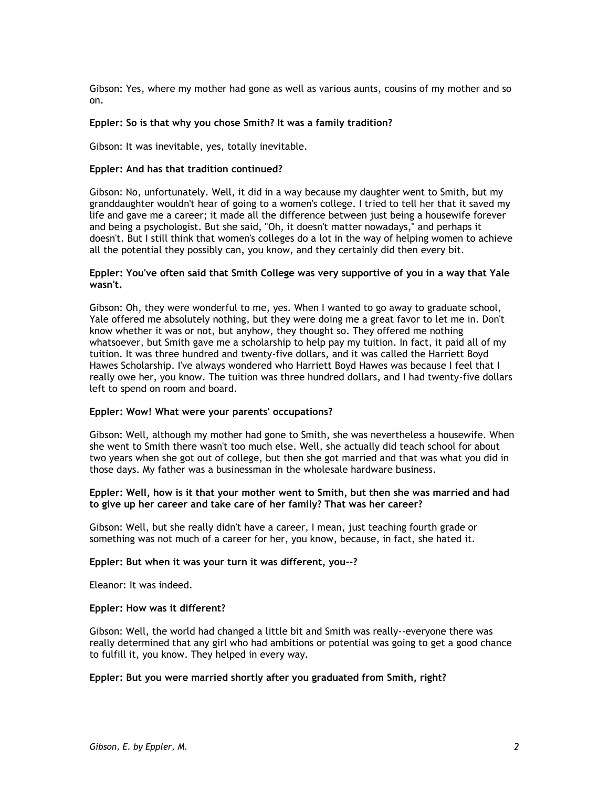Gibson: Yes, where my mother had gone as well as various aunts, cousins of my mother and so on.

### **Eppler: So is that why you chose Smith? It was a family tradition?**

Gibson: It was inevitable, yes, totally inevitable.

### **Eppler: And has that tradition continued?**

Gibson: No, unfortunately. Well, it did in a way because my daughter went to Smith, but my granddaughter wouldn't hear of going to a women's college. I tried to tell her that it saved my life and gave me a career; it made all the difference between just being a housewife forever and being a psychologist. But she said, "Oh, it doesn't matter nowadays," and perhaps it doesn't. But I still think that women's colleges do a lot in the way of helping women to achieve all the potential they possibly can, you know, and they certainly did then every bit.

### **Eppler: You've often said that Smith College was very supportive of you in a way that Yale wasn't.**

Gibson: Oh, they were wonderful to me, yes. When I wanted to go away to graduate school, Yale offered me absolutely nothing, but they were doing me a great favor to let me in. Don't know whether it was or not, but anyhow, they thought so. They offered me nothing whatsoever, but Smith gave me a scholarship to help pay my tuition. In fact, it paid all of my tuition. It was three hundred and twenty-five dollars, and it was called the Harriett Boyd Hawes Scholarship. I've always wondered who Harriett Boyd Hawes was because I feel that I really owe her, you know. The tuition was three hundred dollars, and I had twenty-five dollars left to spend on room and board.

#### **Eppler: Wow! What were your parents' occupations?**

Gibson: Well, although my mother had gone to Smith, she was nevertheless a housewife. When she went to Smith there wasn't too much else. Well, she actually did teach school for about two years when she got out of college, but then she got married and that was what you did in those days. My father was a businessman in the wholesale hardware business.

### **Eppler: Well, how is it that your mother went to Smith, but then she was married and had to give up her career and take care of her family? That was her career?**

Gibson: Well, but she really didn't have a career, I mean, just teaching fourth grade or something was not much of a career for her, you know, because, in fact, she hated it.

#### **Eppler: But when it was your turn it was different, you--?**

Eleanor: It was indeed.

#### **Eppler: How was it different?**

Gibson: Well, the world had changed a little bit and Smith was really--everyone there was really determined that any girl who had ambitions or potential was going to get a good chance to fulfill it, you know. They helped in every way.

#### **Eppler: But you were married shortly after you graduated from Smith, right?**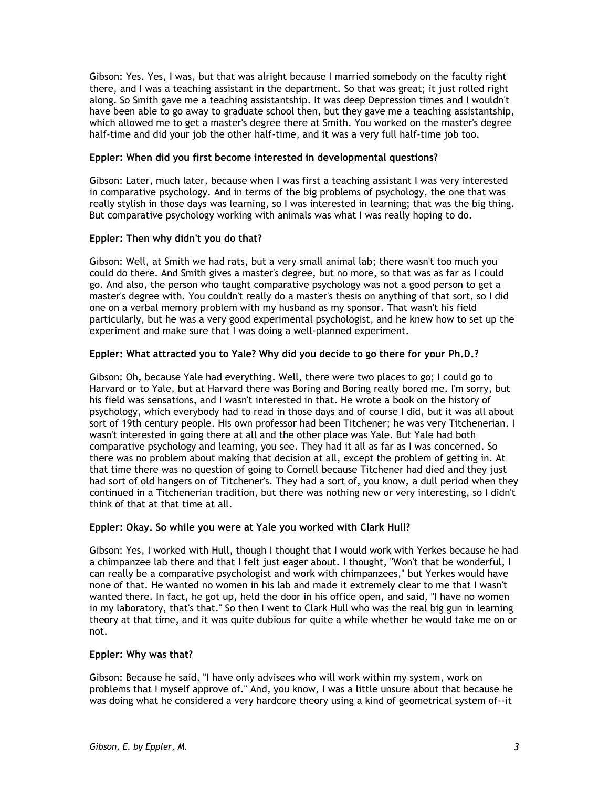Gibson: Yes. Yes, I was, but that was alright because I married somebody on the faculty right there, and I was a teaching assistant in the department. So that was great; it just rolled right along. So Smith gave me a teaching assistantship. It was deep Depression times and I wouldn't have been able to go away to graduate school then, but they gave me a teaching assistantship, which allowed me to get a master's degree there at Smith. You worked on the master's degree half-time and did your job the other half-time, and it was a very full half-time job too.

## **Eppler: When did you first become interested in developmental questions?**

Gibson: Later, much later, because when I was first a teaching assistant I was very interested in comparative psychology. And in terms of the big problems of psychology, the one that was really stylish in those days was learning, so I was interested in learning; that was the big thing. But comparative psychology working with animals was what I was really hoping to do.

# **Eppler: Then why didn't you do that?**

Gibson: Well, at Smith we had rats, but a very small animal lab; there wasn't too much you could do there. And Smith gives a master's degree, but no more, so that was as far as I could go. And also, the person who taught comparative psychology was not a good person to get a master's degree with. You couldn't really do a master's thesis on anything of that sort, so I did one on a verbal memory problem with my husband as my sponsor. That wasn't his field particularly, but he was a very good experimental psychologist, and he knew how to set up the experiment and make sure that I was doing a well-planned experiment.

# **Eppler: What attracted you to Yale? Why did you decide to go there for your Ph.D.?**

Gibson: Oh, because Yale had everything. Well, there were two places to go; I could go to Harvard or to Yale, but at Harvard there was Boring and Boring really bored me. I'm sorry, but his field was sensations, and I wasn't interested in that. He wrote a book on the history of psychology, which everybody had to read in those days and of course I did, but it was all about sort of 19th century people. His own professor had been Titchener; he was very Titchenerian. I wasn't interested in going there at all and the other place was Yale. But Yale had both comparative psychology and learning, you see. They had it all as far as I was concerned. So there was no problem about making that decision at all, except the problem of getting in. At that time there was no question of going to Cornell because Titchener had died and they just had sort of old hangers on of Titchener's. They had a sort of, you know, a dull period when they continued in a Titchenerian tradition, but there was nothing new or very interesting, so I didn't think of that at that time at all.

# **Eppler: Okay. So while you were at Yale you worked with Clark Hull?**

Gibson: Yes, I worked with Hull, though I thought that I would work with Yerkes because he had a chimpanzee lab there and that I felt just eager about. I thought, "Won't that be wonderful, I can really be a comparative psychologist and work with chimpanzees," but Yerkes would have none of that. He wanted no women in his lab and made it extremely clear to me that I wasn't wanted there. In fact, he got up, held the door in his office open, and said, "I have no women in my laboratory, that's that." So then I went to Clark Hull who was the real big gun in learning theory at that time, and it was quite dubious for quite a while whether he would take me on or not.

# **Eppler: Why was that?**

Gibson: Because he said, "I have only advisees who will work within my system, work on problems that I myself approve of." And, you know, I was a little unsure about that because he was doing what he considered a very hardcore theory using a kind of geometrical system of--it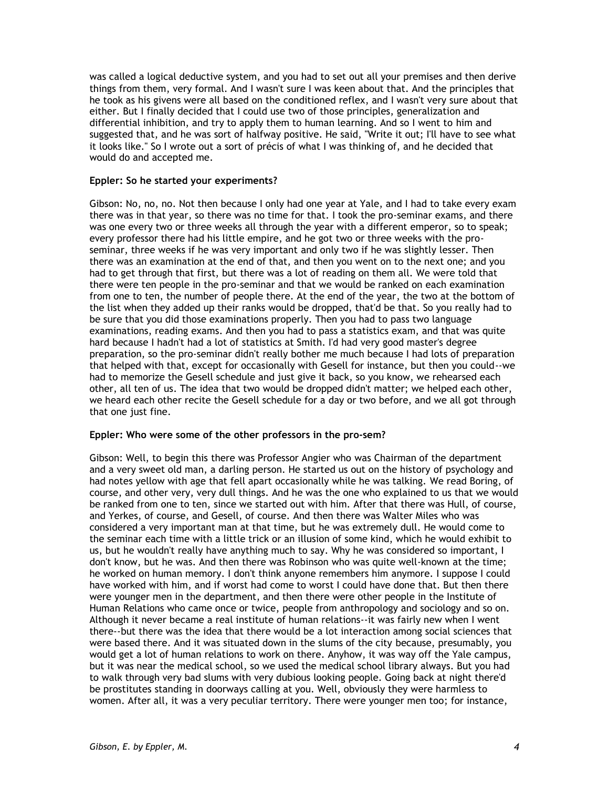was called a logical deductive system, and you had to set out all your premises and then derive things from them, very formal. And I wasn't sure I was keen about that. And the principles that he took as his givens were all based on the conditioned reflex, and I wasn't very sure about that either. But I finally decided that I could use two of those principles, generalization and differential inhibition, and try to apply them to human learning. And so I went to him and suggested that, and he was sort of halfway positive. He said, "Write it out; I'll have to see what it looks like." So I wrote out a sort of précis of what I was thinking of, and he decided that would do and accepted me.

## **Eppler: So he started your experiments?**

Gibson: No, no, no. Not then because I only had one year at Yale, and I had to take every exam there was in that year, so there was no time for that. I took the pro-seminar exams, and there was one every two or three weeks all through the year with a different emperor, so to speak; every professor there had his little empire, and he got two or three weeks with the proseminar, three weeks if he was very important and only two if he was slightly lesser. Then there was an examination at the end of that, and then you went on to the next one; and you had to get through that first, but there was a lot of reading on them all. We were told that there were ten people in the pro-seminar and that we would be ranked on each examination from one to ten, the number of people there. At the end of the year, the two at the bottom of the list when they added up their ranks would be dropped, that'd be that. So you really had to be sure that you did those examinations properly. Then you had to pass two language examinations, reading exams. And then you had to pass a statistics exam, and that was quite hard because I hadn't had a lot of statistics at Smith. I'd had very good master's degree preparation, so the pro-seminar didn't really bother me much because I had lots of preparation that helped with that, except for occasionally with Gesell for instance, but then you could--we had to memorize the Gesell schedule and just give it back, so you know, we rehearsed each other, all ten of us. The idea that two would be dropped didn't matter; we helped each other, we heard each other recite the Gesell schedule for a day or two before, and we all got through that one just fine.

### **Eppler: Who were some of the other professors in the pro-sem?**

Gibson: Well, to begin this there was Professor Angier who was Chairman of the department and a very sweet old man, a darling person. He started us out on the history of psychology and had notes yellow with age that fell apart occasionally while he was talking. We read Boring, of course, and other very, very dull things. And he was the one who explained to us that we would be ranked from one to ten, since we started out with him. After that there was Hull, of course, and Yerkes, of course, and Gesell, of course. And then there was Walter Miles who was considered a very important man at that time, but he was extremely dull. He would come to the seminar each time with a little trick or an illusion of some kind, which he would exhibit to us, but he wouldn't really have anything much to say. Why he was considered so important, I don't know, but he was. And then there was Robinson who was quite well-known at the time; he worked on human memory. I don't think anyone remembers him anymore. I suppose I could have worked with him, and if worst had come to worst I could have done that. But then there were younger men in the department, and then there were other people in the Institute of Human Relations who came once or twice, people from anthropology and sociology and so on. Although it never became a real institute of human relations--it was fairly new when I went there--but there was the idea that there would be a lot interaction among social sciences that were based there. And it was situated down in the slums of the city because, presumably, you would get a lot of human relations to work on there. Anyhow, it was way off the Yale campus, but it was near the medical school, so we used the medical school library always. But you had to walk through very bad slums with very dubious looking people. Going back at night there'd be prostitutes standing in doorways calling at you. Well, obviously they were harmless to women. After all, it was a very peculiar territory. There were younger men too; for instance,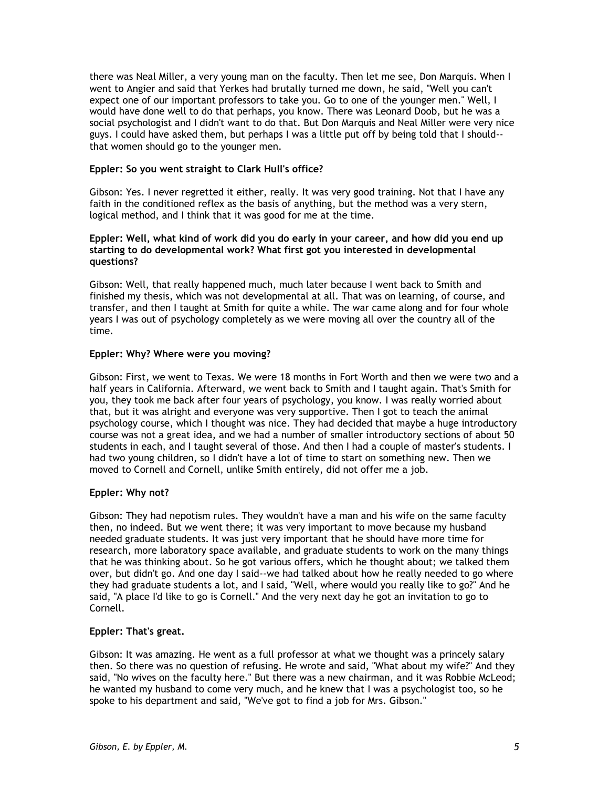there was Neal Miller, a very young man on the faculty. Then let me see, Don Marquis. When I went to Angier and said that Yerkes had brutally turned me down, he said, "Well you can't expect one of our important professors to take you. Go to one of the younger men." Well, I would have done well to do that perhaps, you know. There was Leonard Doob, but he was a social psychologist and I didn't want to do that. But Don Marquis and Neal Miller were very nice guys. I could have asked them, but perhaps I was a little put off by being told that I should- that women should go to the younger men.

## **Eppler: So you went straight to Clark Hull's office?**

Gibson: Yes. I never regretted it either, really. It was very good training. Not that I have any faith in the conditioned reflex as the basis of anything, but the method was a very stern, logical method, and I think that it was good for me at the time.

### **Eppler: Well, what kind of work did you do early in your career, and how did you end up starting to do developmental work? What first got you interested in developmental questions?**

Gibson: Well, that really happened much, much later because I went back to Smith and finished my thesis, which was not developmental at all. That was on learning, of course, and transfer, and then I taught at Smith for quite a while. The war came along and for four whole years I was out of psychology completely as we were moving all over the country all of the time.

## **Eppler: Why? Where were you moving?**

Gibson: First, we went to Texas. We were 18 months in Fort Worth and then we were two and a half years in California. Afterward, we went back to Smith and I taught again. That's Smith for you, they took me back after four years of psychology, you know. I was really worried about that, but it was alright and everyone was very supportive. Then I got to teach the animal psychology course, which I thought was nice. They had decided that maybe a huge introductory course was not a great idea, and we had a number of smaller introductory sections of about 50 students in each, and I taught several of those. And then I had a couple of master's students. I had two young children, so I didn't have a lot of time to start on something new. Then we moved to Cornell and Cornell, unlike Smith entirely, did not offer me a job.

# **Eppler: Why not?**

Gibson: They had nepotism rules. They wouldn't have a man and his wife on the same faculty then, no indeed. But we went there; it was very important to move because my husband needed graduate students. It was just very important that he should have more time for research, more laboratory space available, and graduate students to work on the many things that he was thinking about. So he got various offers, which he thought about; we talked them over, but didn't go. And one day I said--we had talked about how he really needed to go where they had graduate students a lot, and I said, "Well, where would you really like to go?" And he said, "A place I'd like to go is Cornell." And the very next day he got an invitation to go to Cornell.

### **Eppler: That's great.**

Gibson: It was amazing. He went as a full professor at what we thought was a princely salary then. So there was no question of refusing. He wrote and said, "What about my wife?" And they said, "No wives on the faculty here." But there was a new chairman, and it was Robbie McLeod; he wanted my husband to come very much, and he knew that I was a psychologist too, so he spoke to his department and said, "We've got to find a job for Mrs. Gibson."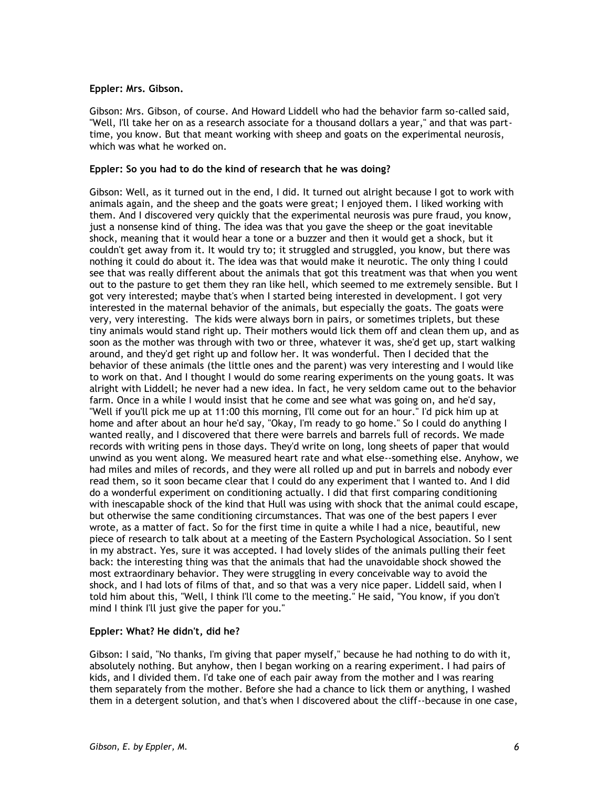## **Eppler: Mrs. Gibson.**

Gibson: Mrs. Gibson, of course. And Howard Liddell who had the behavior farm so-called said, "Well, I'll take her on as a research associate for a thousand dollars a year," and that was parttime, you know. But that meant working with sheep and goats on the experimental neurosis, which was what he worked on.

## **Eppler: So you had to do the kind of research that he was doing?**

Gibson: Well, as it turned out in the end, I did. It turned out alright because I got to work with animals again, and the sheep and the goats were great; I enjoyed them. I liked working with them. And I discovered very quickly that the experimental neurosis was pure fraud, you know, just a nonsense kind of thing. The idea was that you gave the sheep or the goat inevitable shock, meaning that it would hear a tone or a buzzer and then it would get a shock, but it couldn't get away from it. It would try to; it struggled and struggled, you know, but there was nothing it could do about it. The idea was that would make it neurotic. The only thing I could see that was really different about the animals that got this treatment was that when you went out to the pasture to get them they ran like hell, which seemed to me extremely sensible. But I got very interested; maybe that's when I started being interested in development. I got very interested in the maternal behavior of the animals, but especially the goats. The goats were very, very interesting. The kids were always born in pairs, or sometimes triplets, but these tiny animals would stand right up. Their mothers would lick them off and clean them up, and as soon as the mother was through with two or three, whatever it was, she'd get up, start walking around, and they'd get right up and follow her. It was wonderful. Then I decided that the behavior of these animals (the little ones and the parent) was very interesting and I would like to work on that. And I thought I would do some rearing experiments on the young goats. It was alright with Liddell; he never had a new idea. In fact, he very seldom came out to the behavior farm. Once in a while I would insist that he come and see what was going on, and he'd say, "Well if you'll pick me up at 11:00 this morning, I'll come out for an hour." I'd pick him up at home and after about an hour he'd say, "Okay, I'm ready to go home." So I could do anything I wanted really, and I discovered that there were barrels and barrels full of records. We made records with writing pens in those days. They'd write on long, long sheets of paper that would unwind as you went along. We measured heart rate and what else--something else. Anyhow, we had miles and miles of records, and they were all rolled up and put in barrels and nobody ever read them, so it soon became clear that I could do any experiment that I wanted to. And I did do a wonderful experiment on conditioning actually. I did that first comparing conditioning with inescapable shock of the kind that Hull was using with shock that the animal could escape, but otherwise the same conditioning circumstances. That was one of the best papers I ever wrote, as a matter of fact. So for the first time in quite a while I had a nice, beautiful, new piece of research to talk about at a meeting of the Eastern Psychological Association. So I sent in my abstract. Yes, sure it was accepted. I had lovely slides of the animals pulling their feet back: the interesting thing was that the animals that had the unavoidable shock showed the most extraordinary behavior. They were struggling in every conceivable way to avoid the shock, and I had lots of films of that, and so that was a very nice paper. Liddell said, when I told him about this, "Well, I think I'll come to the meeting." He said, "You know, if you don't mind I think I'll just give the paper for you."

### **Eppler: What? He didn't, did he?**

Gibson: I said, "No thanks, I'm giving that paper myself," because he had nothing to do with it, absolutely nothing. But anyhow, then I began working on a rearing experiment. I had pairs of kids, and I divided them. I'd take one of each pair away from the mother and I was rearing them separately from the mother. Before she had a chance to lick them or anything, I washed them in a detergent solution, and that's when I discovered about the cliff--because in one case,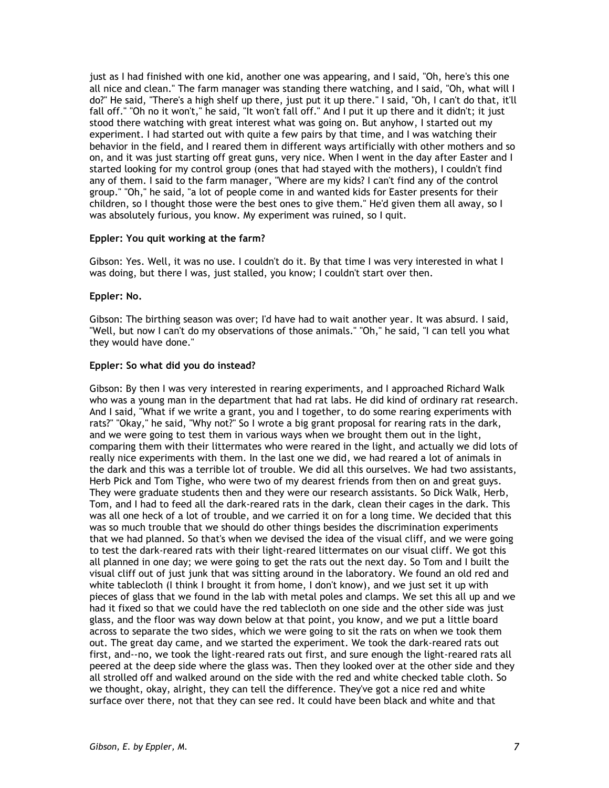just as I had finished with one kid, another one was appearing, and I said, "Oh, here's this one all nice and clean." The farm manager was standing there watching, and I said, "Oh, what will I do?" He said, "There's a high shelf up there, just put it up there." I said, "Oh, I can't do that, it'll fall off." "Oh no it won't," he said, "It won't fall off." And I put it up there and it didn't; it just stood there watching with great interest what was going on. But anyhow, I started out my experiment. I had started out with quite a few pairs by that time, and I was watching their behavior in the field, and I reared them in different ways artificially with other mothers and so on, and it was just starting off great guns, very nice. When I went in the day after Easter and I started looking for my control group (ones that had stayed with the mothers), I couldn't find any of them. I said to the farm manager, "Where are my kids? I can't find any of the control group." "Oh," he said, "a lot of people come in and wanted kids for Easter presents for their children, so I thought those were the best ones to give them." He'd given them all away, so I was absolutely furious, you know. My experiment was ruined, so I quit.

### **Eppler: You quit working at the farm?**

Gibson: Yes. Well, it was no use. I couldn't do it. By that time I was very interested in what I was doing, but there I was, just stalled, you know; I couldn't start over then.

#### **Eppler: No.**

Gibson: The birthing season was over; I'd have had to wait another year. It was absurd. I said, "Well, but now I can't do my observations of those animals." "Oh," he said, "I can tell you what they would have done."

#### **Eppler: So what did you do instead?**

Gibson: By then I was very interested in rearing experiments, and I approached Richard Walk who was a young man in the department that had rat labs. He did kind of ordinary rat research. And I said, "What if we write a grant, you and I together, to do some rearing experiments with rats?" "Okay," he said, "Why not?" So I wrote a big grant proposal for rearing rats in the dark, and we were going to test them in various ways when we brought them out in the light, comparing them with their littermates who were reared in the light, and actually we did lots of really nice experiments with them. In the last one we did, we had reared a lot of animals in the dark and this was a terrible lot of trouble. We did all this ourselves. We had two assistants, Herb Pick and Tom Tighe, who were two of my dearest friends from then on and great guys. They were graduate students then and they were our research assistants. So Dick Walk, Herb, Tom, and I had to feed all the dark-reared rats in the dark, clean their cages in the dark. This was all one heck of a lot of trouble, and we carried it on for a long time. We decided that this was so much trouble that we should do other things besides the discrimination experiments that we had planned. So that's when we devised the idea of the visual cliff, and we were going to test the dark-reared rats with their light-reared littermates on our visual cliff. We got this all planned in one day; we were going to get the rats out the next day. So Tom and I built the visual cliff out of just junk that was sitting around in the laboratory. We found an old red and white tablecloth (I think I brought it from home, I don't know), and we just set it up with pieces of glass that we found in the lab with metal poles and clamps. We set this all up and we had it fixed so that we could have the red tablecloth on one side and the other side was just glass, and the floor was way down below at that point, you know, and we put a little board across to separate the two sides, which we were going to sit the rats on when we took them out. The great day came, and we started the experiment. We took the dark-reared rats out first, and--no, we took the light-reared rats out first, and sure enough the light-reared rats all peered at the deep side where the glass was. Then they looked over at the other side and they all strolled off and walked around on the side with the red and white checked table cloth. So we thought, okay, alright, they can tell the difference. They've got a nice red and white surface over there, not that they can see red. It could have been black and white and that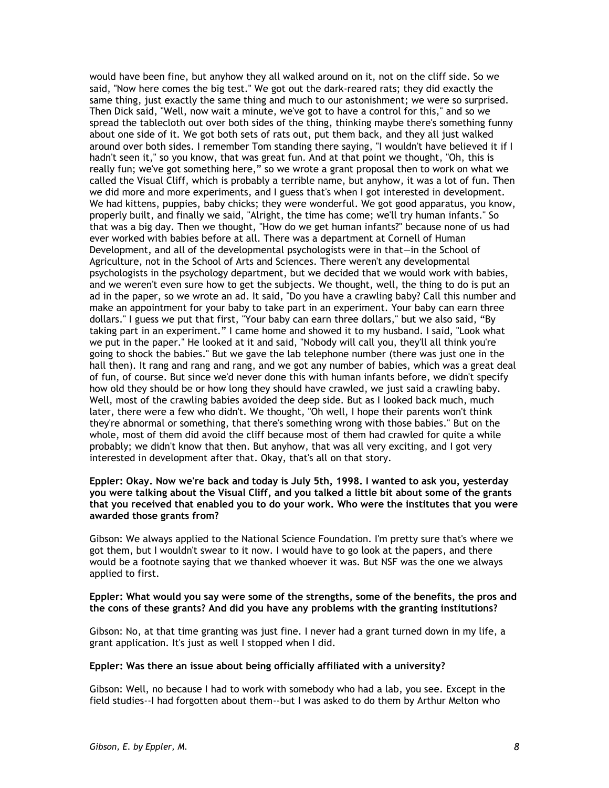would have been fine, but anyhow they all walked around on it, not on the cliff side. So we said, "Now here comes the big test." We got out the dark-reared rats; they did exactly the same thing, just exactly the same thing and much to our astonishment; we were so surprised. Then Dick said, "Well, now wait a minute, we've got to have a control for this," and so we spread the tablecloth out over both sides of the thing, thinking maybe there's something funny about one side of it. We got both sets of rats out, put them back, and they all just walked around over both sides. I remember Tom standing there saying, "I wouldn't have believed it if I hadn't seen it," so you know, that was great fun. And at that point we thought, "Oh, this is really fun; we've got something here," so we wrote a grant proposal then to work on what we called the Visual Cliff, which is probably a terrible name, but anyhow, it was a lot of fun. Then we did more and more experiments, and I guess that's when I got interested in development. We had kittens, puppies, baby chicks; they were wonderful. We got good apparatus, you know, properly built, and finally we said, "Alright, the time has come; we'll try human infants." So that was a big day. Then we thought, "How do we get human infants?" because none of us had ever worked with babies before at all. There was a department at Cornell of Human Development, and all of the developmental psychologists were in that—in the School of Agriculture, not in the School of Arts and Sciences. There weren't any developmental psychologists in the psychology department, but we decided that we would work with babies, and we weren't even sure how to get the subjects. We thought, well, the thing to do is put an ad in the paper, so we wrote an ad. It said, "Do you have a crawling baby? Call this number and make an appointment for your baby to take part in an experiment. Your baby can earn three dollars." I guess we put that first, "Your baby can earn three dollars," but we also said, "By taking part in an experiment." I came home and showed it to my husband. I said, "Look what we put in the paper." He looked at it and said, "Nobody will call you, they'll all think you're going to shock the babies." But we gave the lab telephone number (there was just one in the hall then). It rang and rang and rang, and we got any number of babies, which was a great deal of fun, of course. But since we'd never done this with human infants before, we didn't specify how old they should be or how long they should have crawled, we just said a crawling baby. Well, most of the crawling babies avoided the deep side. But as I looked back much, much later, there were a few who didn't. We thought, "Oh well, I hope their parents won't think they're abnormal or something, that there's something wrong with those babies." But on the whole, most of them did avoid the cliff because most of them had crawled for quite a while probably; we didn't know that then. But anyhow, that was all very exciting, and I got very interested in development after that. Okay, that's all on that story.

### **Eppler: Okay. Now we're back and today is July 5th, 1998. I wanted to ask you, yesterday you were talking about the Visual Cliff, and you talked a little bit about some of the grants that you received that enabled you to do your work. Who were the institutes that you were awarded those grants from?**

Gibson: We always applied to the National Science Foundation. I'm pretty sure that's where we got them, but I wouldn't swear to it now. I would have to go look at the papers, and there would be a footnote saying that we thanked whoever it was. But NSF was the one we always applied to first.

## **Eppler: What would you say were some of the strengths, some of the benefits, the pros and the cons of these grants? And did you have any problems with the granting institutions?**

Gibson: No, at that time granting was just fine. I never had a grant turned down in my life, a grant application. It's just as well I stopped when I did.

### **Eppler: Was there an issue about being officially affiliated with a university?**

Gibson: Well, no because I had to work with somebody who had a lab, you see. Except in the field studies--I had forgotten about them--but I was asked to do them by Arthur Melton who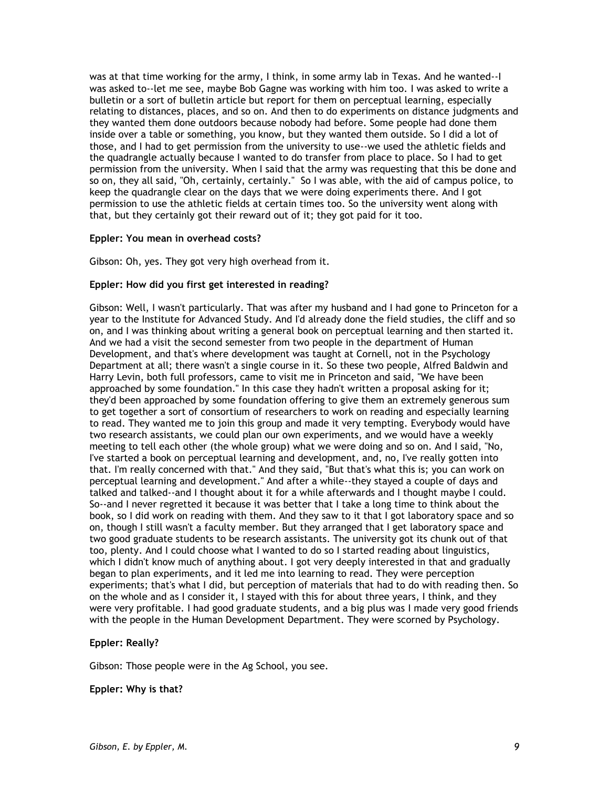was at that time working for the army, I think, in some army lab in Texas. And he wanted--I was asked to--let me see, maybe Bob Gagne was working with him too. I was asked to write a bulletin or a sort of bulletin article but report for them on perceptual learning, especially relating to distances, places, and so on. And then to do experiments on distance judgments and they wanted them done outdoors because nobody had before. Some people had done them inside over a table or something, you know, but they wanted them outside. So I did a lot of those, and I had to get permission from the university to use--we used the athletic fields and the quadrangle actually because I wanted to do transfer from place to place. So I had to get permission from the university. When I said that the army was requesting that this be done and so on, they all said, "Oh, certainly, certainly." So I was able, with the aid of campus police, to keep the quadrangle clear on the days that we were doing experiments there. And I got permission to use the athletic fields at certain times too. So the university went along with that, but they certainly got their reward out of it; they got paid for it too.

### **Eppler: You mean in overhead costs?**

Gibson: Oh, yes. They got very high overhead from it.

## **Eppler: How did you first get interested in reading?**

Gibson: Well, I wasn't particularly. That was after my husband and I had gone to Princeton for a year to the Institute for Advanced Study. And I'd already done the field studies, the cliff and so on, and I was thinking about writing a general book on perceptual learning and then started it. And we had a visit the second semester from two people in the department of Human Development, and that's where development was taught at Cornell, not in the Psychology Department at all; there wasn't a single course in it. So these two people, Alfred Baldwin and Harry Levin, both full professors, came to visit me in Princeton and said, "We have been approached by some foundation." In this case they hadn't written a proposal asking for it; they'd been approached by some foundation offering to give them an extremely generous sum to get together a sort of consortium of researchers to work on reading and especially learning to read. They wanted me to join this group and made it very tempting. Everybody would have two research assistants, we could plan our own experiments, and we would have a weekly meeting to tell each other (the whole group) what we were doing and so on. And I said, "No, I've started a book on perceptual learning and development, and, no, I've really gotten into that. I'm really concerned with that." And they said, "But that's what this is; you can work on perceptual learning and development." And after a while--they stayed a couple of days and talked and talked--and I thought about it for a while afterwards and I thought maybe I could. So--and I never regretted it because it was better that I take a long time to think about the book, so I did work on reading with them. And they saw to it that I got laboratory space and so on, though I still wasn't a faculty member. But they arranged that I get laboratory space and two good graduate students to be research assistants. The university got its chunk out of that too, plenty. And I could choose what I wanted to do so I started reading about linguistics, which I didn't know much of anything about. I got very deeply interested in that and gradually began to plan experiments, and it led me into learning to read. They were perception experiments; that's what I did, but perception of materials that had to do with reading then. So on the whole and as I consider it, I stayed with this for about three years, I think, and they were very profitable. I had good graduate students, and a big plus was I made very good friends with the people in the Human Development Department. They were scorned by Psychology.

### **Eppler: Really?**

Gibson: Those people were in the Ag School, you see.

## **Eppler: Why is that?**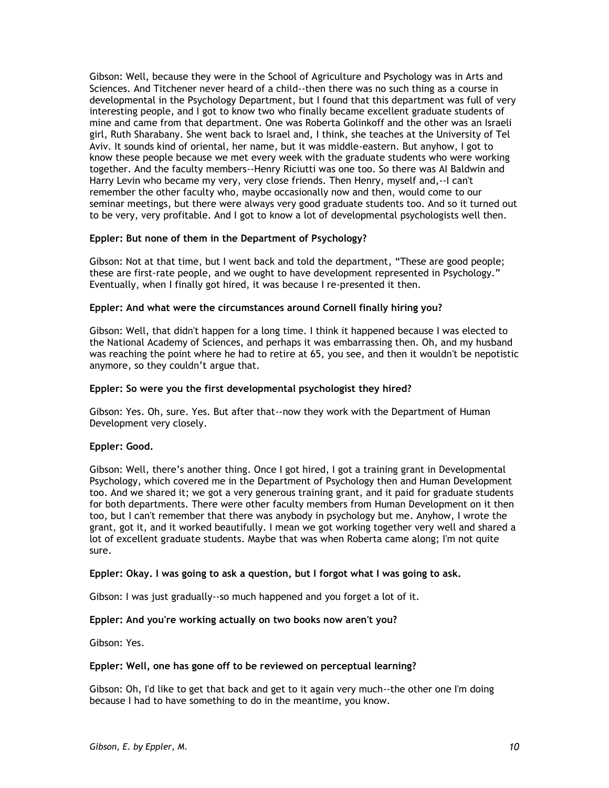Gibson: Well, because they were in the School of Agriculture and Psychology was in Arts and Sciences. And Titchener never heard of a child--then there was no such thing as a course in developmental in the Psychology Department, but I found that this department was full of very interesting people, and I got to know two who finally became excellent graduate students of mine and came from that department. One was Roberta Golinkoff and the other was an Israeli girl, Ruth Sharabany. She went back to Israel and, I think, she teaches at the University of Tel Aviv. It sounds kind of oriental, her name, but it was middle-eastern. But anyhow, I got to know these people because we met every week with the graduate students who were working together. And the faculty members--Henry Riciutti was one too. So there was AI Baldwin and Harry Levin who became my very, very close friends. Then Henry, myself and,--I can't remember the other faculty who, maybe occasionally now and then, would come to our seminar meetings, but there were always very good graduate students too. And so it turned out to be very, very profitable. And I got to know a lot of developmental psychologists well then.

## **Eppler: But none of them in the Department of Psychology?**

Gibson: Not at that time, but I went back and told the department, "These are good people; these are first-rate people, and we ought to have development represented in Psychology." Eventually, when I finally got hired, it was because I re-presented it then.

## **Eppler: And what were the circumstances around Cornell finally hiring you?**

Gibson: Well, that didn't happen for a long time. I think it happened because I was elected to the National Academy of Sciences, and perhaps it was embarrassing then. Oh, and my husband was reaching the point where he had to retire at 65, you see, and then it wouldn't be nepotistic anymore, so they couldn't argue that.

## **Eppler: So were you the first developmental psychologist they hired?**

Gibson: Yes. Oh, sure. Yes. But after that--now they work with the Department of Human Development very closely.

### **Eppler: Good.**

Gibson: Well, there's another thing. Once I got hired, I got a training grant in Developmental Psychology, which covered me in the Department of Psychology then and Human Development too. And we shared it; we got a very generous training grant, and it paid for graduate students for both departments. There were other faculty members from Human Development on it then too, but I can't remember that there was anybody in psychology but me. Anyhow, I wrote the grant, got it, and it worked beautifully. I mean we got working together very well and shared a lot of excellent graduate students. Maybe that was when Roberta came along; I'm not quite sure.

### **Eppler: Okay. I was going to ask a question, but I forgot what I was going to ask.**

Gibson: I was just gradually--so much happened and you forget a lot of it.

### **Eppler: And you're working actually on two books now aren't you?**

Gibson: Yes.

### **Eppler: Well, one has gone off to be reviewed on perceptual learning?**

Gibson: Oh, I'd like to get that back and get to it again very much--the other one I'm doing because I had to have something to do in the meantime, you know.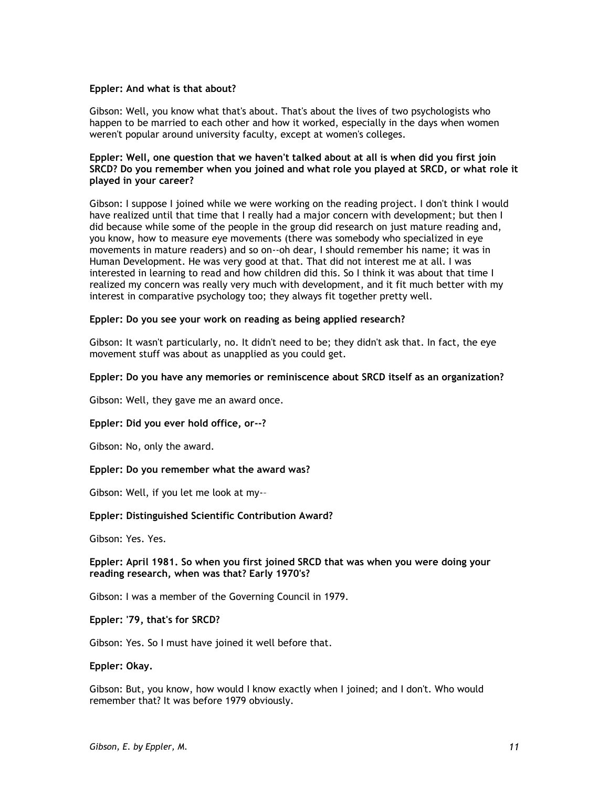### **Eppler: And what is that about?**

Gibson: Well, you know what that's about. That's about the lives of two psychologists who happen to be married to each other and how it worked, especially in the days when women weren't popular around university faculty, except at women's colleges.

### **Eppler: Well, one question that we haven't talked about at all is when did you first join SRCD? Do you remember when you joined and what role you played at SRCD, or what role it played in your career?**

Gibson: I suppose I joined while we were working on the reading project. I don't think I would have realized until that time that I really had a major concern with development; but then I did because while some of the people in the group did research on just mature reading and, you know, how to measure eye movements (there was somebody who specialized in eye movements in mature readers) and so on--oh dear, I should remember his name; it was in Human Development. He was very good at that. That did not interest me at all. I was interested in learning to read and how children did this. So I think it was about that time I realized my concern was really very much with development, and it fit much better with my interest in comparative psychology too; they always fit together pretty well.

### **Eppler: Do you see your work on reading as being applied research?**

Gibson: It wasn't particularly, no. It didn't need to be; they didn't ask that. In fact, the eye movement stuff was about as unapplied as you could get.

### **Eppler: Do you have any memories or reminiscence about SRCD itself as an organization?**

Gibson: Well, they gave me an award once.

### **Eppler: Did you ever hold office, or--?**

Gibson: No, only the award.

#### **Eppler: Do you remember what the award was?**

Gibson: Well, if you let me look at my-–

### **Eppler: Distinguished Scientific Contribution Award?**

Gibson: Yes. Yes.

## **Eppler: April 1981. So when you first joined SRCD that was when you were doing your reading research, when was that? Early 1970's?**

Gibson: I was a member of the Governing Council in 1979.

**Eppler: '79, that's for SRCD?** 

Gibson: Yes. So I must have joined it well before that.

### **Eppler: Okay.**

Gibson: But, you know, how would I know exactly when I joined; and I don't. Who would remember that? It was before 1979 obviously.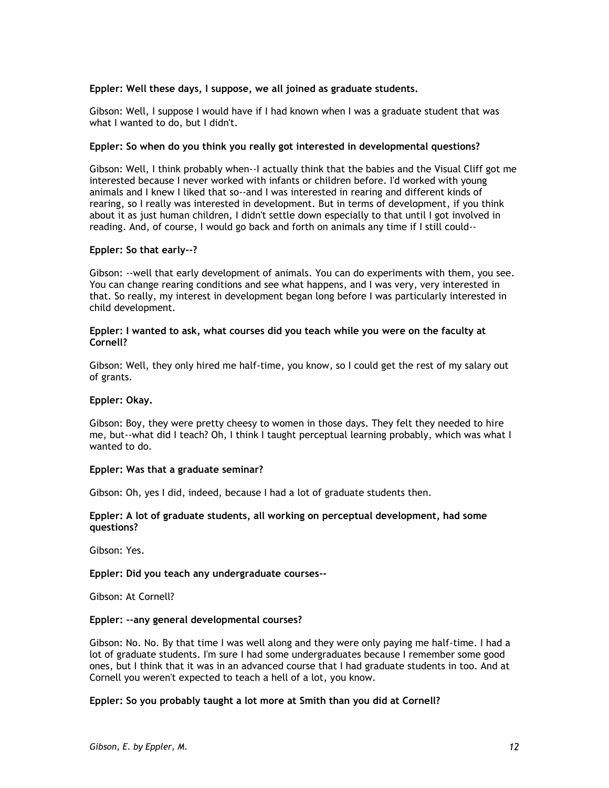## **Eppler: Well these days, I suppose, we all joined as graduate students.**

Gibson: Well, I suppose I would have if I had known when I was a graduate student that was what I wanted to do, but I didn't.

### **Eppler: So when do you think you really got interested in developmental questions?**

Gibson: Well, I think probably when--I actually think that the babies and the Visual Cliff got me interested because I never worked with infants or children before. I'd worked with young animals and I knew I liked that so--and I was interested in rearing and different kinds of rearing, so I really was interested in development. But in terms of development, if you think about it as just human children, I didn't settle down especially to that until I got involved in reading. And, of course, I would go back and forth on animals any time if I still could--

### **Eppler: So that early--?**

Gibson: --well that early development of animals. You can do experiments with them, you see. You can change rearing conditions and see what happens, and I was very, very interested in that. So really, my interest in development began long before I was particularly interested in child development.

### **Eppler: I wanted to ask, what courses did you teach while you were on the faculty at Cornell?**

Gibson: Well, they only hired me half-time, you know, so I could get the rest of my salary out of grants.

### **Eppler: Okay.**

Gibson: Boy, they were pretty cheesy to women in those days. They felt they needed to hire me, but--what did I teach? Oh, I think I taught perceptual learning probably, which was what I wanted to do.

### **Eppler: Was that a graduate seminar?**

Gibson: Oh, yes I did, indeed, because I had a lot of graduate students then.

### **Eppler: A lot of graduate students, all working on perceptual development, had some questions?**

Gibson: Yes.

### **Eppler: Did you teach any undergraduate courses--**

Gibson: At Cornell?

#### **Eppler: --any general developmental courses?**

Gibson: No. No. By that time I was well along and they were only paying me half-time. I had a lot of graduate students. I'm sure I had some undergraduates because I remember some good ones, but I think that it was in an advanced course that I had graduate students in too. And at Cornell you weren't expected to teach a hell of a lot, you know.

### **Eppler: So you probably taught a lot more at Smith than you did at Cornell?**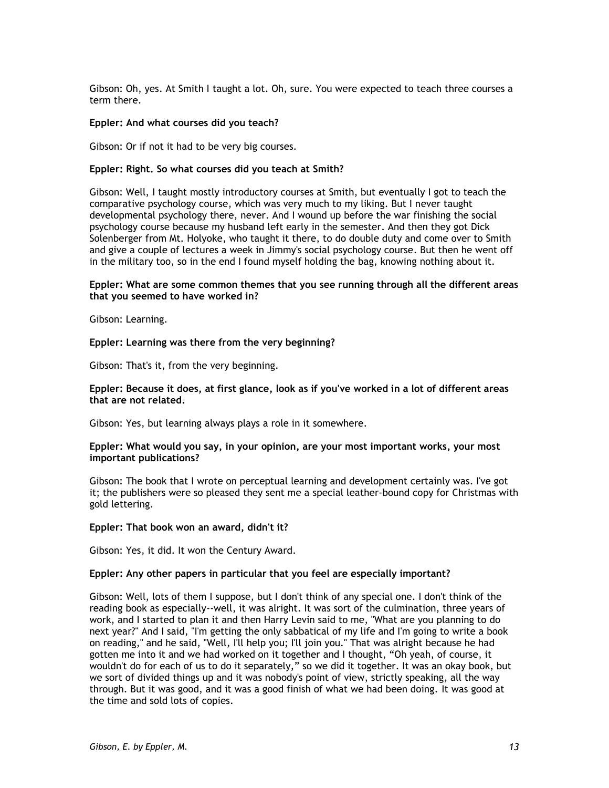Gibson: Oh, yes. At Smith I taught a lot. Oh, sure. You were expected to teach three courses a term there.

### **Eppler: And what courses did you teach?**

Gibson: Or if not it had to be very big courses.

### **Eppler: Right. So what courses did you teach at Smith?**

Gibson: Well, I taught mostly introductory courses at Smith, but eventually I got to teach the comparative psychology course, which was very much to my liking. But I never taught developmental psychology there, never. And I wound up before the war finishing the social psychology course because my husband left early in the semester. And then they got Dick Solenberger from Mt. Holyoke, who taught it there, to do double duty and come over to Smith and give a couple of lectures a week in Jimmy's social psychology course. But then he went off in the military too, so in the end I found myself holding the bag, knowing nothing about it.

### **Eppler: What are some common themes that you see running through all the different areas that you seemed to have worked in?**

Gibson: Learning.

**Eppler: Learning was there from the very beginning?**

Gibson: That's it, from the very beginning.

### **Eppler: Because it does, at first glance, look as if you've worked in a lot of different areas that are not related.**

Gibson: Yes, but learning always plays a role in it somewhere.

### **Eppler: What would you say, in your opinion, are your most important works, your most important publications?**

Gibson: The book that I wrote on perceptual learning and development certainly was. I've got it; the publishers were so pleased they sent me a special leather-bound copy for Christmas with gold lettering.

#### **Eppler: That book won an award, didn't it?**

Gibson: Yes, it did. It won the Century Award.

### **Eppler: Any other papers in particular that you feel are especially important?**

Gibson: Well, lots of them I suppose, but I don't think of any special one. I don't think of the reading book as especially--well, it was alright. It was sort of the culmination, three years of work, and I started to plan it and then Harry Levin said to me, "What are you planning to do next year?" And I said, "I'm getting the only sabbatical of my life and I'm going to write a book on reading," and he said, "Well, I'll help you; I'll join you." That was alright because he had gotten me into it and we had worked on it together and I thought, "Oh yeah, of course, it wouldn't do for each of us to do it separately," so we did it together. It was an okay book, but we sort of divided things up and it was nobody's point of view, strictly speaking, all the way through. But it was good, and it was a good finish of what we had been doing. It was good at the time and sold lots of copies.